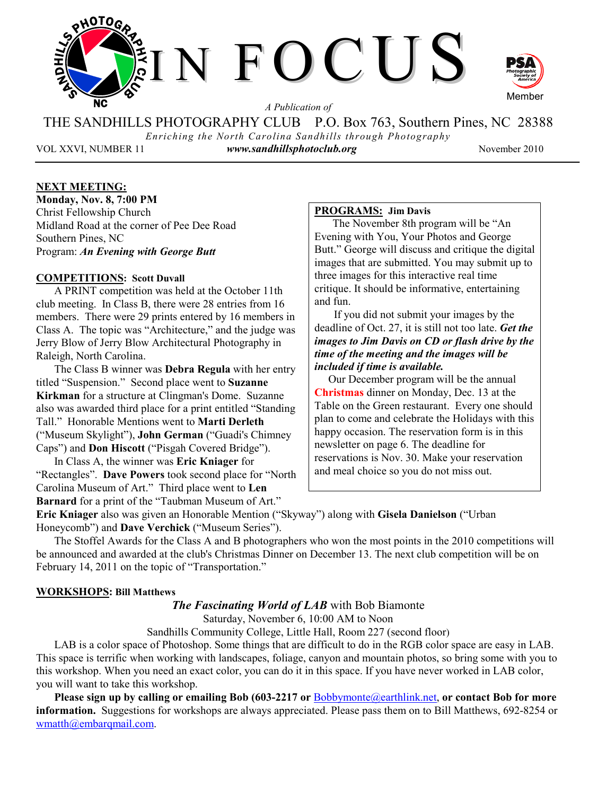

*A Publication of* 

THE SANDHILLS PHOTOGRAPHY CLUB P.O. Box 763, Southern Pines, NC 28388 *Enriching the North Carolina Sandhills through Photography* 

VOL XXVI, NUMBER 11 *www.sandhillsphotoclub.org* November 2010

## **NEXT MEETING:**

**Monday, Nov. 8, 7:00 PM**  Christ Fellowship Church Midland Road at the corner of Pee Dee Road Southern Pines, NC Program: *An Evening with George Butt* 

### **COMPETITIONS: Scott Duvall**

A PRINT competition was held at the October 11th club meeting. In Class B, there were 28 entries from 16 members. There were 29 prints entered by 16 members in Class A. The topic was "Architecture," and the judge was Jerry Blow of Jerry Blow Architectural Photography in Raleigh, North Carolina.

The Class B winner was **Debra Regula** with her entry titled "Suspension." Second place went to **Suzanne Kirkman** for a structure at Clingman's Dome. Suzanne also was awarded third place for a print entitled "Standing Tall." Honorable Mentions went to **Marti Derleth** ("Museum Skylight"), **John German** ("Guadi's Chimney Caps") and **Don Hiscott** ("Pisgah Covered Bridge").

In Class A, the winner was **Eric Kniager** for "Rectangles". **Dave Powers** took second place for "North Carolina Museum of Art." Third place went to **Len Barnard** for a print of the "Taubman Museum of Art."

## **PROGRAMS: Jim Davis**

The November 8th program will be "An Evening with You, Your Photos and George Butt." George will discuss and critique the digital images that are submitted. You may submit up to three images for this interactive real time critique. It should be informative, entertaining and fun.

 If you did not submit your images by the deadline of Oct. 27, it is still not too late. *Get the images to Jim Davis on CD or flash drive by the time of the meeting and the images will be included if time is available.* 

 Our December program will be the annual **Christmas** dinner on Monday, Dec. 13 at the Table on the Green restaurant. Every one should plan to come and celebrate the Holidays with this happy occasion. The reservation form is in this newsletter on page 6. The deadline for reservations is Nov. 30. Make your reservation and meal choice so you do not miss out.

**Eric Kniager** also was given an Honorable Mention ("Skyway") along with **Gisela Danielson** ("Urban Honeycomb") and **Dave Verchick** ("Museum Series").

The Stoffel Awards for the Class A and B photographers who won the most points in the 2010 competitions will be announced and awarded at the club's Christmas Dinner on December 13. The next club competition will be on February 14, 2011 on the topic of "Transportation."

### **WORKSHOPS: Bill Matthews**

*The Fascinating World of LAB* with Bob Biamonte

Saturday, November 6, 10:00 AM to Noon

Sandhills Community College, Little Hall, Room 227 (second floor)

LAB is a color space of Photoshop. Some things that are difficult to do in the RGB color space are easy in LAB. This space is terrific when working with landscapes, foliage, canyon and mountain photos, so bring some with you to this workshop. When you need an exact color, you can do it in this space. If you have never worked in LAB color, you will want to take this workshop.

**Please sign up by calling or emailing Bob (603-2217 or** Bobbymonte@earthlink.net, **or contact Bob for more information.** Suggestions for workshops are always appreciated. Please pass them on to Bill Matthews, 692-8254 or wmatth@embarqmail.com.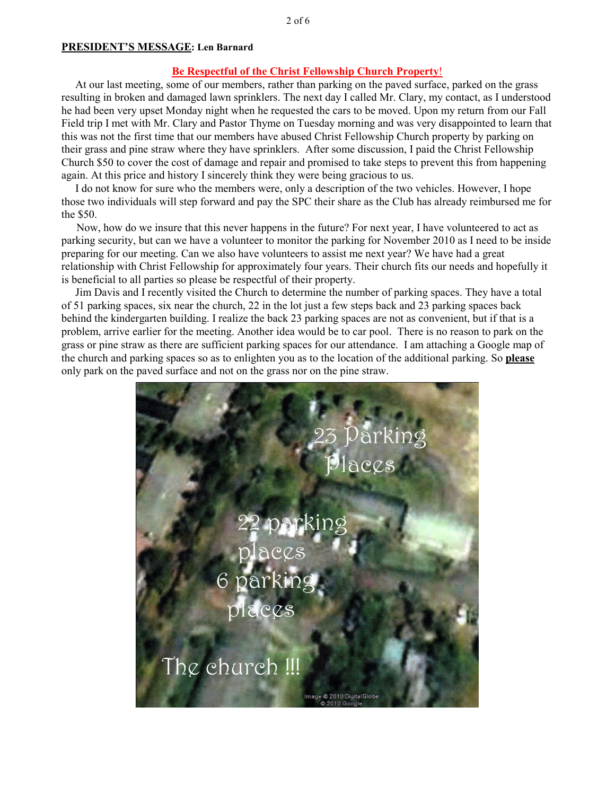### **PRESIDENT'S MESSAGE: Len Barnard**

## **Be Respectful of the Christ Fellowship Church Property**!

 At our last meeting, some of our members, rather than parking on the paved surface, parked on the grass resulting in broken and damaged lawn sprinklers. The next day I called Mr. Clary, my contact, as I understood he had been very upset Monday night when he requested the cars to be moved. Upon my return from our Fall Field trip I met with Mr. Clary and Pastor Thyme on Tuesday morning and was very disappointed to learn that this was not the first time that our members have abused Christ Fellowship Church property by parking on their grass and pine straw where they have sprinklers. After some discussion, I paid the Christ Fellowship Church \$50 to cover the cost of damage and repair and promised to take steps to prevent this from happening again. At this price and history I sincerely think they were being gracious to us.

 I do not know for sure who the members were, only a description of the two vehicles. However, I hope those two individuals will step forward and pay the SPC their share as the Club has already reimbursed me for the \$50.

 Now, how do we insure that this never happens in the future? For next year, I have volunteered to act as parking security, but can we have a volunteer to monitor the parking for November 2010 as I need to be inside preparing for our meeting. Can we also have volunteers to assist me next year? We have had a great relationship with Christ Fellowship for approximately four years. Their church fits our needs and hopefully it is beneficial to all parties so please be respectful of their property.

 Jim Davis and I recently visited the Church to determine the number of parking spaces. They have a total of 51 parking spaces, six near the church, 22 in the lot just a few steps back and 23 parking spaces back behind the kindergarten building. I realize the back 23 parking spaces are not as convenient, but if that is a problem, arrive earlier for the meeting. Another idea would be to car pool. There is no reason to park on the grass or pine straw as there are sufficient parking spaces for our attendance. I am attaching a Google map of the church and parking spaces so as to enlighten you as to the location of the additional parking. So **please** only park on the paved surface and not on the grass nor on the pine straw.

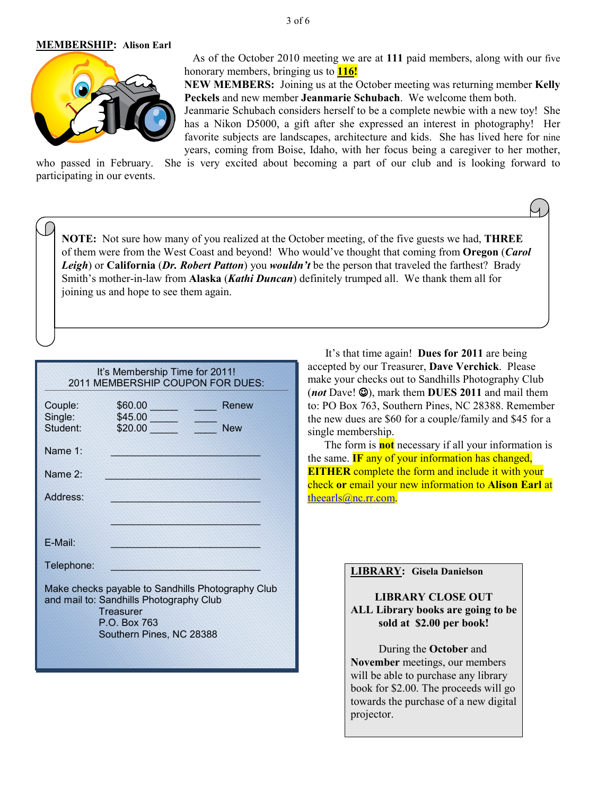### **MEMBERSHIP: Alison Earl**



 As of the October 2010 meeting we are at **111** paid members, along with our five honorary members, bringing us to **116!** 

**NEW MEMBERS:** Joining us at the October meeting was returning member **Kelly Peckels** and new member **Jeanmarie Schubach**. We welcome them both.

Jeanmarie Schubach considers herself to be a complete newbie with a new toy! She has a Nikon D5000, a gift after she expressed an interest in photography! Her favorite subjects are landscapes, architecture and kids. She has lived here for nine years, coming from Boise, Idaho, with her focus being a caregiver to her mother,

who passed in February. She is very excited about becoming a part of our club and is looking forward to participating in our events.

**NOTE:** Not sure how many of you realized at the October meeting, of the five guests we had, **THREE** of them were from the West Coast and beyond! Who would've thought that coming from **Oregon** (*Carol Leigh*) or **California** (*Dr. Robert Patton*) you *wouldn't* be the person that traveled the farthest? Brady Smith's mother-in-law from **Alaska** (*Kathi Duncan*) definitely trumped all. We thank them all for joining us and hope to see them again.

| It's Membership Time for 2011!<br>2011 MEMBERSHIP COUPON FOR DUES:                                                                                    |                               |      |                     |  |  |  |
|-------------------------------------------------------------------------------------------------------------------------------------------------------|-------------------------------|------|---------------------|--|--|--|
| Couple:<br>Single:<br>Student:                                                                                                                        | \$60.00<br>\$45.00<br>\$20.00 | 2222 | Renew<br><b>New</b> |  |  |  |
| Name 1:                                                                                                                                               |                               |      |                     |  |  |  |
| Name 2:                                                                                                                                               |                               |      |                     |  |  |  |
| Address:                                                                                                                                              |                               |      |                     |  |  |  |
|                                                                                                                                                       |                               |      |                     |  |  |  |
| F-Mail:                                                                                                                                               |                               |      |                     |  |  |  |
| Telephone:                                                                                                                                            |                               |      |                     |  |  |  |
| Make checks payable to Sandhills Photography Club<br>and mail to: Sandhills Photography Club<br>Treasurer<br>P.O. Box 763<br>Southern Pines, NC 28388 |                               |      |                     |  |  |  |

It's that time again! **Dues for 2011** are being accepted by our Treasurer, **Dave Verchick**. Please make your checks out to Sandhills Photography Club (*not* Dave! ☺), mark them **DUES 2011** and mail them to: PO Box 763, Southern Pines, NC 28388. Remember the new dues are \$60 for a couple/family and \$45 for a single membership.

 The form is **not** necessary if all your information is the same. **IF** any of your information has changed, **EITHER** complete the form and include it with your check **or** email your new information to **Alison Earl** at theearls@nc.rr.com.

| <b>LIBRARY: Gisela Danielson</b>                                                          |  |  |  |
|-------------------------------------------------------------------------------------------|--|--|--|
| <b>LIBRARY CLOSE OUT</b><br>ALL Library books are going to be<br>sold at \$2.00 per book! |  |  |  |
| During the <b>October</b> and                                                             |  |  |  |
| November meetings, our members                                                            |  |  |  |
| will be able to purchase any library                                                      |  |  |  |
| book for \$2.00. The proceeds will go                                                     |  |  |  |
| towards the purchase of a new digital                                                     |  |  |  |
| projector.                                                                                |  |  |  |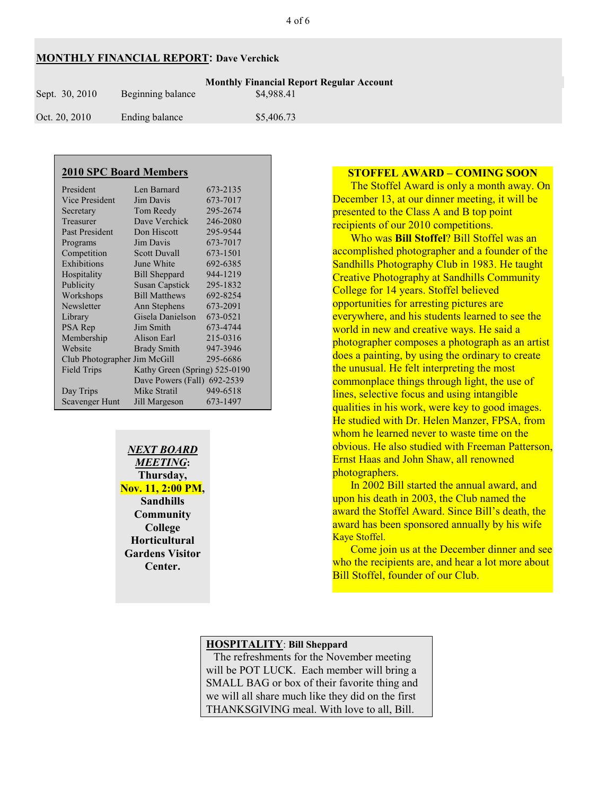## **MONTHLY FINANCIAL REPORT: Dave Verchick**

| Sept. 30, 2010 | Beginning balance | <b>Monthly Financial Report Regular Account</b><br>\$4,988.41 |
|----------------|-------------------|---------------------------------------------------------------|
| Oct. 20, 2010  | Ending balance    | \$5,406.73                                                    |

| <b>2010 SPC Board Members</b> |                               |          |  |  |  |  |
|-------------------------------|-------------------------------|----------|--|--|--|--|
| President                     | Len Barnard                   | 673-2135 |  |  |  |  |
| <b>Vice President</b>         | Jim Davis                     | 673-7017 |  |  |  |  |
| Secretary                     | Tom Reedy                     | 295-2674 |  |  |  |  |
| Treasurer                     | Dave Verchick                 | 246-2080 |  |  |  |  |
| <b>Past President</b>         | Don Hiscott                   | 295-9544 |  |  |  |  |
| Programs                      | Jim Davis                     | 673-7017 |  |  |  |  |
| Competition                   | Scott Duvall                  | 673-1501 |  |  |  |  |
| Exhibitions                   | June White                    | 692-6385 |  |  |  |  |
| Hospitality                   | <b>Bill Sheppard</b>          | 944-1219 |  |  |  |  |
| Publicity                     | <b>Susan Capstick</b>         | 295-1832 |  |  |  |  |
| Workshops                     | <b>Bill Matthews</b>          | 692-8254 |  |  |  |  |
| Newsletter                    | Ann Stephens                  | 673-2091 |  |  |  |  |
| Library                       | Gisela Danielson              | 673-0521 |  |  |  |  |
| PSA Rep                       | Jim Smith                     | 673-4744 |  |  |  |  |
| Membership                    | Alison Earl                   | 215-0316 |  |  |  |  |
| Website                       | <b>Brady Smith</b>            | 947-3946 |  |  |  |  |
| Club Photographer Jim McGill  |                               | 295-6686 |  |  |  |  |
| <b>Field Trips</b>            | Kathy Green (Spring) 525-0190 |          |  |  |  |  |
|                               | Dave Powers (Fall) 692-2539   |          |  |  |  |  |
| Day Trips                     | Mike Stratil                  | 949-6518 |  |  |  |  |
| <b>Scavenger Hunt</b>         | Jill Margeson                 | 673-1497 |  |  |  |  |

 *NEXT BOARD MEETING***: Thursday, Nov. 11, 2:00 PM, Sandhills Community College Horticultural Gardens Visitor Center.** 

## **STOFFEL AWARD – COMING SOON**

The Stoffel Award is only a month away. On December 13, at our dinner meeting, it will be presented to the Class A and B top point recipients of our 2010 competitions.

Who was **Bill Stoffel**? Bill Stoffel was an accomplished photographer and a founder of the Sandhills Photography Club in 1983. He taught Creative Photography at Sandhills Community College for 14 years. Stoffel believed opportunities for arresting pictures are everywhere, and his students learned to see the world in new and creative ways. He said a photographer composes a photograph as an artist does a painting, by using the ordinary to create the unusual. He felt interpreting the most commonplace things through light, the use of lines, selective focus and using intangible qualities in his work, were key to good images. He studied with Dr. Helen Manzer, FPSA, from whom he learned never to waste time on the obvious. He also studied with Freeman Patterson, Ernst Haas and John Shaw, all renowned photographers.

In 2002 Bill started the annual award, and upon his death in 2003, the Club named the award the Stoffel Award. Since Bill's death, the award has been sponsored annually by his wife Kaye Stoffel.

Come join us at the December dinner and see who the recipients are, and hear a lot more about Bill Stoffel, founder of our Club.

## **HOSPITALITY**: **Bill Sheppard**

 The refreshments for the November meeting will be POT LUCK. Each member will bring a SMALL BAG or box of their favorite thing and we will all share much like they did on the first THANKSGIVING meal. With love to all, Bill.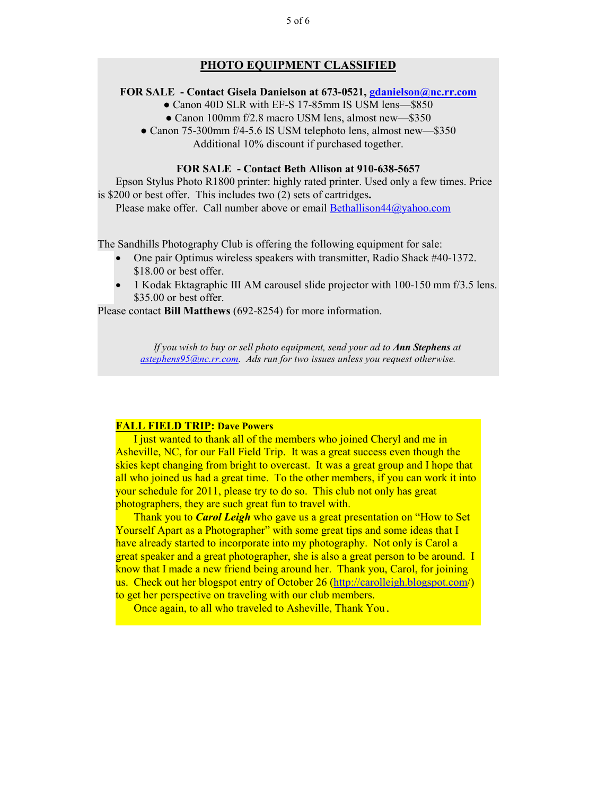### **PHOTO EQUIPMENT CLASSIFIED**

### **FOR SALE - Contact Gisela Danielson at 673-0521, gdanielson@nc.rr.com**

- Canon 40D SLR with EF-S 17-85mm IS USM lens-\$850
- Canon 100mm f/2.8 macro USM lens, almost new—\$350
- Canon 75-300mm f/4-5.6 IS USM telephoto lens, almost new—\$350 Additional 10% discount if purchased together.

### **FOR SALE - Contact Beth Allison at 910-638-5657**

Epson Stylus Photo R1800 printer: highly rated printer. Used only a few times. Price is \$200 or best offer. This includes two (2) sets of cartridges**.** 

Please make offer. Call number above or email Bethallison44@yahoo.com

The Sandhills Photography Club is offering the following equipment for sale:

- One pair Optimus wireless speakers with transmitter, Radio Shack #40-1372. \$18.00 or best offer.
- 1 Kodak Ektagraphic III AM carousel slide projector with 100-150 mm f/3.5 lens. \$35.00 or best offer.

Please contact **Bill Matthews** (692-8254) for more information.

*If you wish to buy or sell photo equipment, send your ad to Ann Stephens at astephens95@nc.rr.com. Ads run for two issues unless you request otherwise.* 

### **FALL FIELD TRIP: Dave Powers**

I just wanted to thank all of the members who joined Cheryl and me in Asheville, NC, for our Fall Field Trip. It was a great success even though the skies kept changing from bright to overcast. It was a great group and I hope that all who joined us had a great time. To the other members, if you can work it into your schedule for 2011, please try to do so. This club not only has great photographers, they are such great fun to travel with.

Thank you to *Carol Leigh* who gave us a great presentation on "How to Set Yourself Apart as a Photographer" with some great tips and some ideas that I have already started to incorporate into my photography. Not only is Carol a great speaker and a great photographer, she is also a great person to be around. I know that I made a new friend being around her. Thank you, Carol, for joining us. Check out her blogspot entry of October 26 (http://carolleigh.blogspot.com/) to get her perspective on traveling with our club members.

Once again, to all who traveled to Asheville, Thank You.